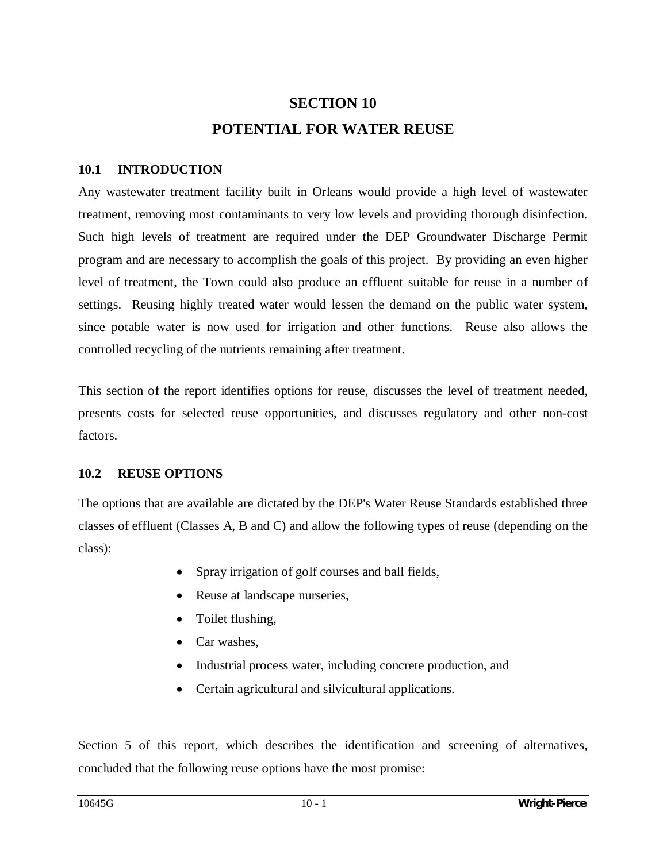# **SECTION 10 POTENTIAL FOR WATER REUSE**

## **10.1 INTRODUCTION**

Any wastewater treatment facility built in Orleans would provide a high level of wastewater treatment, removing most contaminants to very low levels and providing thorough disinfection. Such high levels of treatment are required under the DEP Groundwater Discharge Permit program and are necessary to accomplish the goals of this project. By providing an even higher level of treatment, the Town could also produce an effluent suitable for reuse in a number of settings. Reusing highly treated water would lessen the demand on the public water system, since potable water is now used for irrigation and other functions. Reuse also allows the controlled recycling of the nutrients remaining after treatment.

This section of the report identifies options for reuse, discusses the level of treatment needed, presents costs for selected reuse opportunities, and discusses regulatory and other non-cost factors.

## **10.2 REUSE OPTIONS**

The options that are available are dictated by the DEP's Water Reuse Standards established three classes of effluent (Classes A, B and C) and allow the following types of reuse (depending on the class):

- Spray irrigation of golf courses and ball fields,
- Reuse at landscape nurseries,
- Toilet flushing,
- $\bullet$  Car washes.
- Industrial process water, including concrete production, and
- $\bullet$  Certain agricultural and silvicultural applications.

Section 5 of this report, which describes the identification and screening of alternatives, concluded that the following reuse options have the most promise: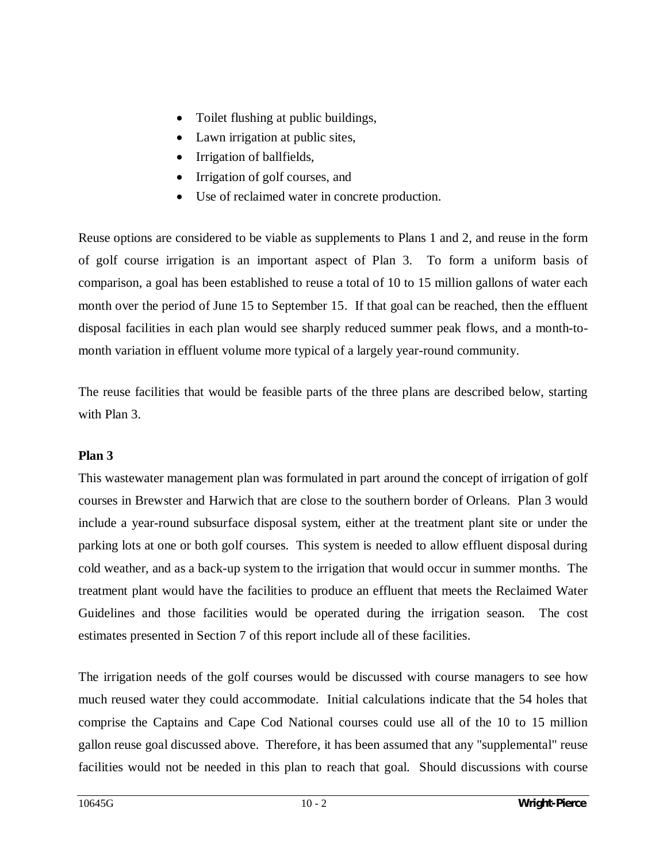- Toilet flushing at public buildings,
- Lawn irrigation at public sites,
- Irrigation of ballfields,
- Irrigation of golf courses, and
- Use of reclaimed water in concrete production.

Reuse options are considered to be viable as supplements to Plans 1 and 2, and reuse in the form of golf course irrigation is an important aspect of Plan 3. To form a uniform basis of comparison, a goal has been established to reuse a total of 10 to 15 million gallons of water each month over the period of June 15 to September 15. If that goal can be reached, then the effluent disposal facilities in each plan would see sharply reduced summer peak flows, and a month-tomonth variation in effluent volume more typical of a largely year-round community.

The reuse facilities that would be feasible parts of the three plans are described below, starting with Plan 3.

## **Plan 3**

This wastewater management plan was formulated in part around the concept of irrigation of golf courses in Brewster and Harwich that are close to the southern border of Orleans. Plan 3 would include a year-round subsurface disposal system, either at the treatment plant site or under the parking lots at one or both golf courses. This system is needed to allow effluent disposal during cold weather, and as a back-up system to the irrigation that would occur in summer months. The treatment plant would have the facilities to produce an effluent that meets the Reclaimed Water Guidelines and those facilities would be operated during the irrigation season. The cost estimates presented in Section 7 of this report include all of these facilities.

The irrigation needs of the golf courses would be discussed with course managers to see how much reused water they could accommodate. Initial calculations indicate that the 54 holes that comprise the Captains and Cape Cod National courses could use all of the 10 to 15 million gallon reuse goal discussed above. Therefore, it has been assumed that any "supplemental" reuse facilities would not be needed in this plan to reach that goal. Should discussions with course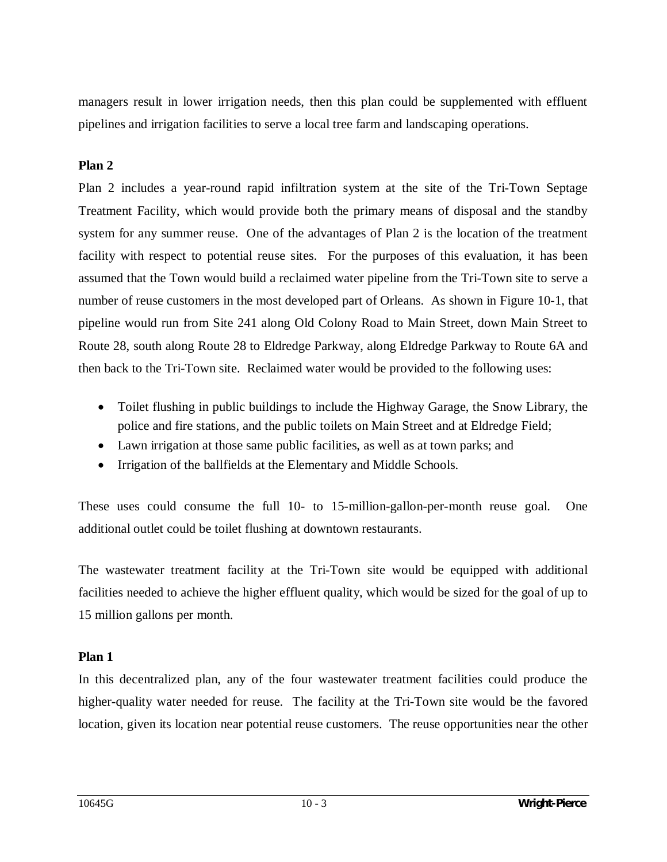managers result in lower irrigation needs, then this plan could be supplemented with effluent pipelines and irrigation facilities to serve a local tree farm and landscaping operations.

## **Plan 2**

Plan 2 includes a year-round rapid infiltration system at the site of the Tri-Town Septage Treatment Facility, which would provide both the primary means of disposal and the standby system for any summer reuse. One of the advantages of Plan 2 is the location of the treatment facility with respect to potential reuse sites. For the purposes of this evaluation, it has been assumed that the Town would build a reclaimed water pipeline from the Tri-Town site to serve a number of reuse customers in the most developed part of Orleans. As shown in Figure 10-1, that pipeline would run from Site 241 along Old Colony Road to Main Street, down Main Street to Route 28, south along Route 28 to Eldredge Parkway, along Eldredge Parkway to Route 6A and then back to the Tri-Town site. Reclaimed water would be provided to the following uses:

- Toilet flushing in public buildings to include the Highway Garage, the Snow Library, the police and fire stations, and the public toilets on Main Street and at Eldredge Field;
- Lawn irrigation at those same public facilities, as well as at town parks; and
- Irrigation of the ballfields at the Elementary and Middle Schools.

These uses could consume the full 10- to 15-million-gallon-per-month reuse goal. One additional outlet could be toilet flushing at downtown restaurants.

The wastewater treatment facility at the Tri-Town site would be equipped with additional facilities needed to achieve the higher effluent quality, which would be sized for the goal of up to 15 million gallons per month.

#### **Plan 1**

In this decentralized plan, any of the four wastewater treatment facilities could produce the higher-quality water needed for reuse. The facility at the Tri-Town site would be the favored location, given its location near potential reuse customers. The reuse opportunities near the other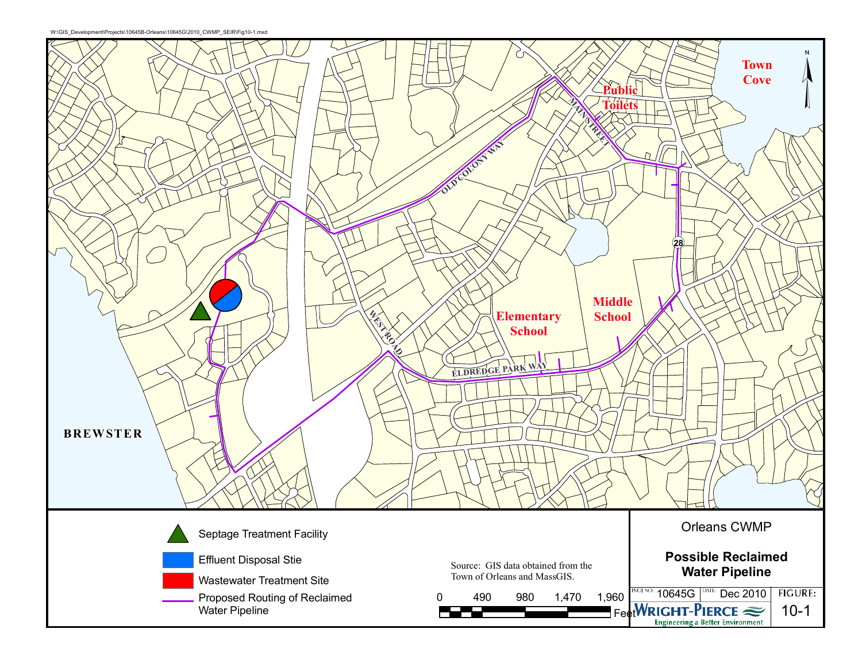

W:\GIS\_Development\Projects\10645B-Orleans\10645G\2010\_CWMP\_SEIR\Fig10-1.mxd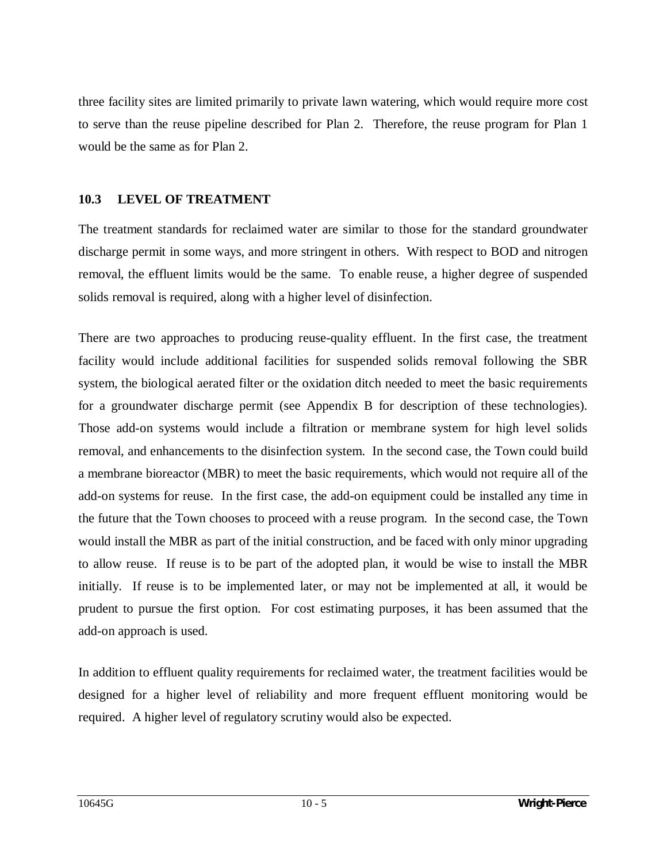three facility sites are limited primarily to private lawn watering, which would require more cost to serve than the reuse pipeline described for Plan 2. Therefore, the reuse program for Plan 1 would be the same as for Plan 2.

## **10.3 LEVEL OF TREATMENT**

The treatment standards for reclaimed water are similar to those for the standard groundwater discharge permit in some ways, and more stringent in others. With respect to BOD and nitrogen removal, the effluent limits would be the same. To enable reuse, a higher degree of suspended solids removal is required, along with a higher level of disinfection.

There are two approaches to producing reuse-quality effluent. In the first case, the treatment facility would include additional facilities for suspended solids removal following the SBR system, the biological aerated filter or the oxidation ditch needed to meet the basic requirements for a groundwater discharge permit (see Appendix B for description of these technologies). Those add-on systems would include a filtration or membrane system for high level solids removal, and enhancements to the disinfection system. In the second case, the Town could build a membrane bioreactor (MBR) to meet the basic requirements, which would not require all of the add-on systems for reuse. In the first case, the add-on equipment could be installed any time in the future that the Town chooses to proceed with a reuse program. In the second case, the Town would install the MBR as part of the initial construction, and be faced with only minor upgrading to allow reuse. If reuse is to be part of the adopted plan, it would be wise to install the MBR initially. If reuse is to be implemented later, or may not be implemented at all, it would be prudent to pursue the first option. For cost estimating purposes, it has been assumed that the add-on approach is used.

In addition to effluent quality requirements for reclaimed water, the treatment facilities would be designed for a higher level of reliability and more frequent effluent monitoring would be required. A higher level of regulatory scrutiny would also be expected.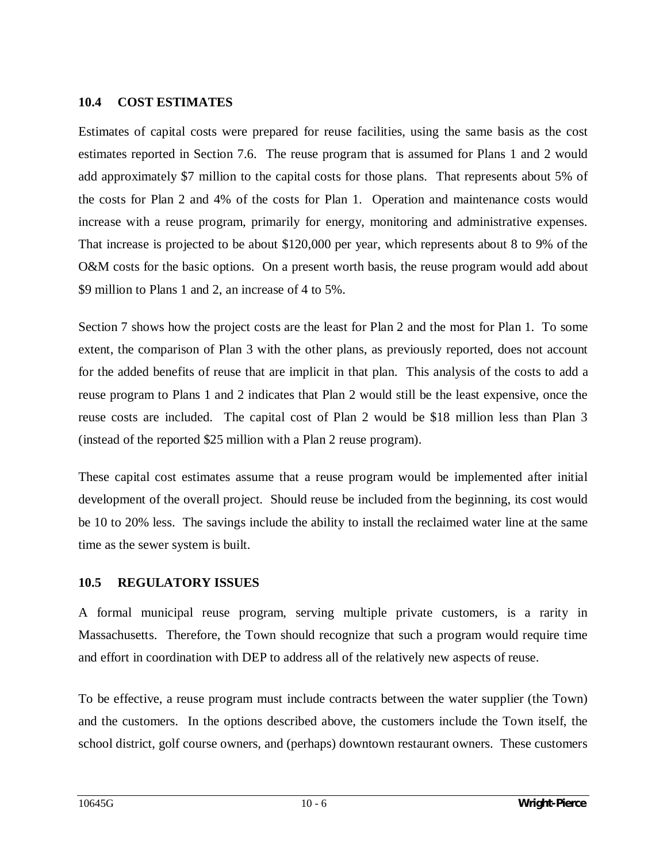## **10.4 COST ESTIMATES**

Estimates of capital costs were prepared for reuse facilities, using the same basis as the cost estimates reported in Section 7.6. The reuse program that is assumed for Plans 1 and 2 would add approximately \$7 million to the capital costs for those plans. That represents about 5% of the costs for Plan 2 and 4% of the costs for Plan 1. Operation and maintenance costs would increase with a reuse program, primarily for energy, monitoring and administrative expenses. That increase is projected to be about \$120,000 per year, which represents about 8 to 9% of the O&M costs for the basic options. On a present worth basis, the reuse program would add about \$9 million to Plans 1 and 2, an increase of 4 to 5%.

Section 7 shows how the project costs are the least for Plan 2 and the most for Plan 1. To some extent, the comparison of Plan 3 with the other plans, as previously reported, does not account for the added benefits of reuse that are implicit in that plan. This analysis of the costs to add a reuse program to Plans 1 and 2 indicates that Plan 2 would still be the least expensive, once the reuse costs are included. The capital cost of Plan 2 would be \$18 million less than Plan 3 (instead of the reported \$25 million with a Plan 2 reuse program).

These capital cost estimates assume that a reuse program would be implemented after initial development of the overall project. Should reuse be included from the beginning, its cost would be 10 to 20% less. The savings include the ability to install the reclaimed water line at the same time as the sewer system is built.

#### **10.5 REGULATORY ISSUES**

A formal municipal reuse program, serving multiple private customers, is a rarity in Massachusetts. Therefore, the Town should recognize that such a program would require time and effort in coordination with DEP to address all of the relatively new aspects of reuse.

To be effective, a reuse program must include contracts between the water supplier (the Town) and the customers. In the options described above, the customers include the Town itself, the school district, golf course owners, and (perhaps) downtown restaurant owners. These customers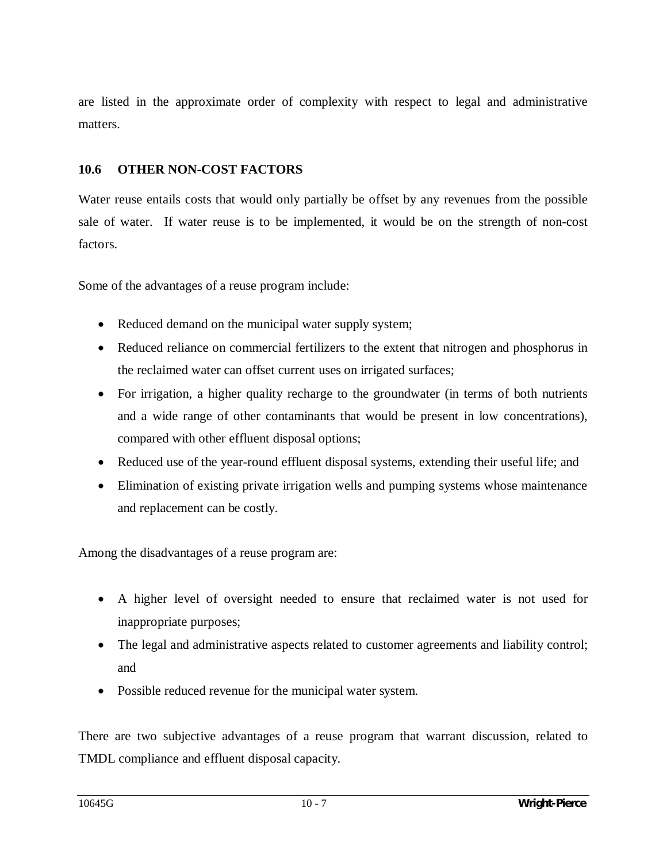are listed in the approximate order of complexity with respect to legal and administrative matters.

## **10.6 OTHER NON-COST FACTORS**

Water reuse entails costs that would only partially be offset by any revenues from the possible sale of water. If water reuse is to be implemented, it would be on the strength of non-cost factors.

Some of the advantages of a reuse program include:

- Reduced demand on the municipal water supply system;
- Reduced reliance on commercial fertilizers to the extent that nitrogen and phosphorus in the reclaimed water can offset current uses on irrigated surfaces;
- For irrigation, a higher quality recharge to the groundwater (in terms of both nutrients and a wide range of other contaminants that would be present in low concentrations), compared with other effluent disposal options;
- Reduced use of the year-round effluent disposal systems, extending their useful life; and
- Elimination of existing private irrigation wells and pumping systems whose maintenance and replacement can be costly.

Among the disadvantages of a reuse program are:

- x A higher level of oversight needed to ensure that reclaimed water is not used for inappropriate purposes;
- The legal and administrative aspects related to customer agreements and liability control; and
- Possible reduced revenue for the municipal water system.

There are two subjective advantages of a reuse program that warrant discussion, related to TMDL compliance and effluent disposal capacity.